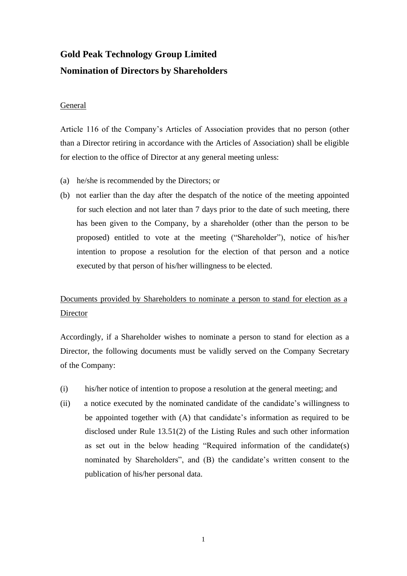# **Gold Peak Technology Group Limited Nomination of Directors by Shareholders**

## General

Article 116 of the Company's Articles of Association provides that no person (other than a Director retiring in accordance with the Articles of Association) shall be eligible for election to the office of Director at any general meeting unless:

- (a) he/she is recommended by the Directors; or
- (b) not earlier than the day after the despatch of the notice of the meeting appointed for such election and not later than 7 days prior to the date of such meeting, there has been given to the Company, by a shareholder (other than the person to be proposed) entitled to vote at the meeting ("Shareholder"), notice of his/her intention to propose a resolution for the election of that person and a notice executed by that person of his/her willingness to be elected.

# Documents provided by Shareholders to nominate a person to stand for election as a Director

Accordingly, if a Shareholder wishes to nominate a person to stand for election as a Director, the following documents must be validly served on the Company Secretary of the Company:

- (i) his/her notice of intention to propose a resolution at the general meeting; and
- (ii) a notice executed by the nominated candidate of the candidate's willingness to be appointed together with (A) that candidate's information as required to be disclosed under Rule 13.51(2) of the Listing Rules and such other information as set out in the below heading "Required information of the candidate(s) nominated by Shareholders", and (B) the candidate's written consent to the publication of his/her personal data.